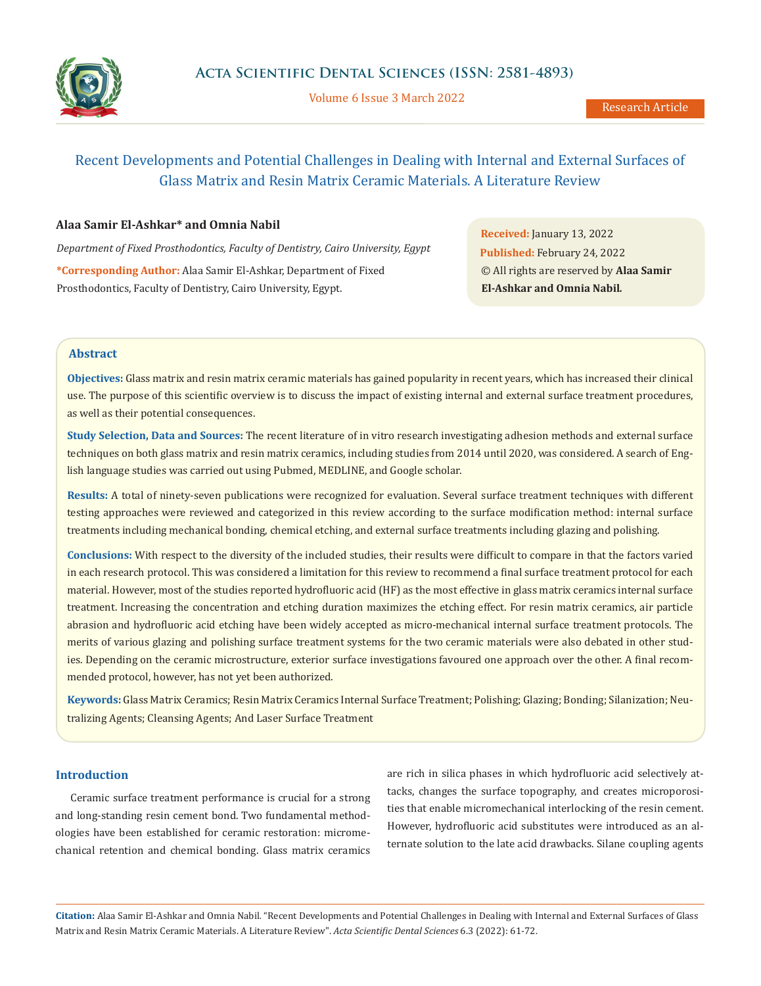

Volume 6 Issue 3 March 2022

# Recent Developments and Potential Challenges in Dealing with Internal and External Surfaces of Glass Matrix and Resin Matrix Ceramic Materials. A Literature Review

## **Alaa Samir El-Ashkar\* and Omnia Nabil**

*Department of Fixed Prosthodontics, Faculty of Dentistry, Cairo University, Egypt* **\*Corresponding Author:** Alaa Samir El-Ashkar, Department of Fixed Prosthodontics, Faculty of Dentistry, Cairo University, Egypt.

**Received:** January 13, 2022 **Published:** February 24, 2022 © All rights are reserved by **Alaa Samir El-Ashkar and Omnia Nabil***.*

## **Abstract**

**Objectives:** Glass matrix and resin matrix ceramic materials has gained popularity in recent years, which has increased their clinical use. The purpose of this scientific overview is to discuss the impact of existing internal and external surface treatment procedures, as well as their potential consequences.

**Study Selection, Data and Sources:** The recent literature of in vitro research investigating adhesion methods and external surface techniques on both glass matrix and resin matrix ceramics, including studies from 2014 until 2020, was considered. A search of English language studies was carried out using Pubmed, MEDLINE, and Google scholar.

**Results:** A total of ninety-seven publications were recognized for evaluation. Several surface treatment techniques with different testing approaches were reviewed and categorized in this review according to the surface modification method: internal surface treatments including mechanical bonding, chemical etching, and external surface treatments including glazing and polishing.

**Conclusions:** With respect to the diversity of the included studies, their results were difficult to compare in that the factors varied in each research protocol. This was considered a limitation for this review to recommend a final surface treatment protocol for each material. However, most of the studies reported hydrofluoric acid (HF) as the most effective in glass matrix ceramics internal surface treatment. Increasing the concentration and etching duration maximizes the etching effect. For resin matrix ceramics, air particle abrasion and hydrofluoric acid etching have been widely accepted as micro-mechanical internal surface treatment protocols. The merits of various glazing and polishing surface treatment systems for the two ceramic materials were also debated in other studies. Depending on the ceramic microstructure, exterior surface investigations favoured one approach over the other. A final recommended protocol, however, has not yet been authorized.

**Keywords:** Glass Matrix Ceramics; Resin Matrix Ceramics Internal Surface Treatment; Polishing; Glazing; Bonding; Silanization; Neutralizing Agents; Cleansing Agents; And Laser Surface Treatment

## **Introduction**

Ceramic surface treatment performance is crucial for a strong and long-standing resin cement bond. Two fundamental methodologies have been established for ceramic restoration: micromechanical retention and chemical bonding. Glass matrix ceramics are rich in silica phases in which hydrofluoric acid selectively attacks, changes the surface topography, and creates microporosities that enable micromechanical interlocking of the resin cement. However, hydrofluoric acid substitutes were introduced as an alternate solution to the late acid drawbacks. Silane coupling agents

**Citation:** Alaa Samir El-Ashkar and Omnia Nabil*.* "Recent Developments and Potential Challenges in Dealing with Internal and External Surfaces of Glass Matrix and Resin Matrix Ceramic Materials. A Literature Review". *Acta Scientific Dental Sciences* 6.3 (2022): 61-72.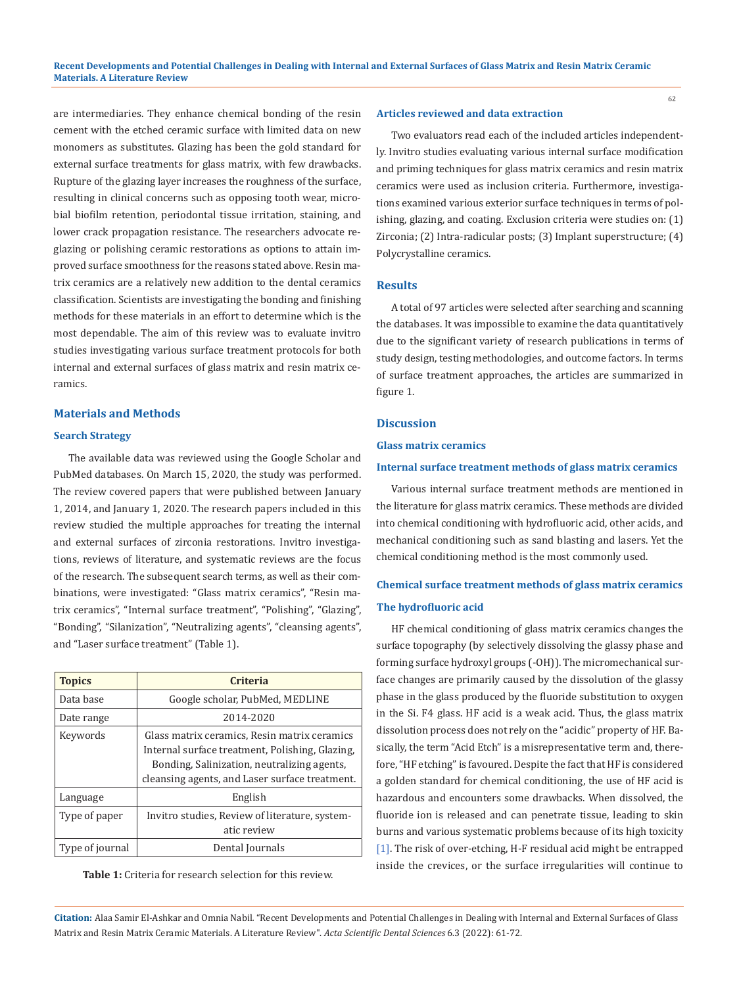are intermediaries. They enhance chemical bonding of the resin cement with the etched ceramic surface with limited data on new monomers as substitutes. Glazing has been the gold standard for external surface treatments for glass matrix, with few drawbacks. Rupture of the glazing layer increases the roughness of the surface, resulting in clinical concerns such as opposing tooth wear, microbial biofilm retention, periodontal tissue irritation, staining, and lower crack propagation resistance. The researchers advocate reglazing or polishing ceramic restorations as options to attain improved surface smoothness for the reasons stated above. Resin matrix ceramics are a relatively new addition to the dental ceramics classification. Scientists are investigating the bonding and finishing methods for these materials in an effort to determine which is the most dependable. The aim of this review was to evaluate invitro studies investigating various surface treatment protocols for both internal and external surfaces of glass matrix and resin matrix ceramics.

## **Materials and Methods**

#### **Search Strategy**

The available data was reviewed using the Google Scholar and PubMed databases. On March 15, 2020, the study was performed. The review covered papers that were published between January 1, 2014, and January 1, 2020. The research papers included in this review studied the multiple approaches for treating the internal and external surfaces of zirconia restorations. Invitro investigations, reviews of literature, and systematic reviews are the focus of the research. The subsequent search terms, as well as their combinations, were investigated: "Glass matrix ceramics", "Resin matrix ceramics", "Internal surface treatment", "Polishing", "Glazing", "Bonding", "Silanization", "Neutralizing agents", "cleansing agents", and "Laser surface treatment" (Table 1).

| <b>Topics</b>   | <b>Criteria</b>                                                                                                                                                                                  |
|-----------------|--------------------------------------------------------------------------------------------------------------------------------------------------------------------------------------------------|
| Data base       | Google scholar, PubMed, MEDLINE                                                                                                                                                                  |
| Date range      | 2014-2020                                                                                                                                                                                        |
| Keywords        | Glass matrix ceramics, Resin matrix ceramics<br>Internal surface treatment, Polishing, Glazing,<br>Bonding, Salinization, neutralizing agents,<br>cleansing agents, and Laser surface treatment. |
| Language        | English                                                                                                                                                                                          |
| Type of paper   | Invitro studies, Review of literature, system-<br>atic review                                                                                                                                    |
| Type of journal | Dental Journals                                                                                                                                                                                  |

**Table 1:** Criteria for research selection for this review.

#### **Articles reviewed and data extraction**

Two evaluators read each of the included articles independently. Invitro studies evaluating various internal surface modification and priming techniques for glass matrix ceramics and resin matrix ceramics were used as inclusion criteria. Furthermore, investigations examined various exterior surface techniques in terms of polishing, glazing, and coating. Exclusion criteria were studies on: (1) Zirconia; (2) Intra-radicular posts; (3) Implant superstructure; (4) Polycrystalline ceramics.

#### **Results**

A total of 97 articles were selected after searching and scanning the databases. It was impossible to examine the data quantitatively due to the significant variety of research publications in terms of study design, testing methodologies, and outcome factors. In terms of surface treatment approaches, the articles are summarized in figure 1.

## **Discussion**

#### **Glass matrix ceramics**

## **Internal surface treatment methods of glass matrix ceramics**

Various internal surface treatment methods are mentioned in the literature for glass matrix ceramics. These methods are divided into chemical conditioning with hydrofluoric acid, other acids, and mechanical conditioning such as sand blasting and lasers. Yet the chemical conditioning method is the most commonly used.

# **Chemical surface treatment methods of glass matrix ceramics The hydrofluoric acid**

HF chemical conditioning of glass matrix ceramics changes the surface topography (by selectively dissolving the glassy phase and forming surface hydroxyl groups (-OH)). The micromechanical surface changes are primarily caused by the dissolution of the glassy phase in the glass produced by the fluoride substitution to oxygen in the Si. F4 glass. HF acid is a weak acid. Thus, the glass matrix dissolution process does not rely on the "acidic" property of HF. Basically, the term "Acid Etch" is a misrepresentative term and, therefore, "HF etching" is favoured. Despite the fact that HF is considered a golden standard for chemical conditioning, the use of HF acid is hazardous and encounters some drawbacks. When dissolved, the fluoride ion is released and can penetrate tissue, leading to skin burns and various systematic problems because of its high toxicity [1]. The risk of over-etching, H-F residual acid might be entrapped inside the crevices, or the surface irregularities will continue to

**Citation:** Alaa Samir El-Ashkar and Omnia Nabil*.* "Recent Developments and Potential Challenges in Dealing with Internal and External Surfaces of Glass Matrix and Resin Matrix Ceramic Materials. A Literature Review". *Acta Scientific Dental Sciences* 6.3 (2022): 61-72.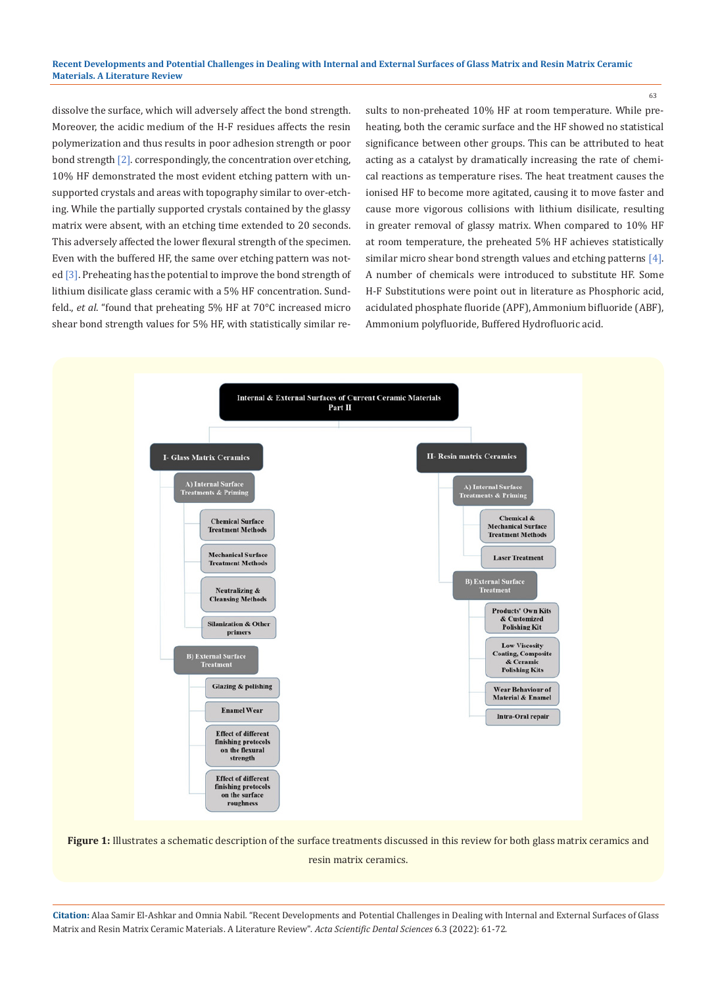### **Recent Developments and Potential Challenges in Dealing with Internal and External Surfaces of Glass Matrix and Resin Matrix Ceramic Materials. A Literature Review**

dissolve the surface, which will adversely affect the bond strength. Moreover, the acidic medium of the H-F residues affects the resin polymerization and thus results in poor adhesion strength or poor bond strength [2]. correspondingly, the concentration over etching, 10% HF demonstrated the most evident etching pattern with unsupported crystals and areas with topography similar to over-etching. While the partially supported crystals contained by the glassy matrix were absent, with an etching time extended to 20 seconds. This adversely affected the lower flexural strength of the specimen. Even with the buffered HF, the same over etching pattern was noted [3]. Preheating has the potential to improve the bond strength of lithium disilicate glass ceramic with a 5% HF concentration. Sundfeld., *et al*. "found that preheating 5% HF at 70°C increased micro shear bond strength values for 5% HF, with statistically similar results to non-preheated 10% HF at room temperature. While preheating, both the ceramic surface and the HF showed no statistical significance between other groups. This can be attributed to heat acting as a catalyst by dramatically increasing the rate of chemical reactions as temperature rises. The heat treatment causes the ionised HF to become more agitated, causing it to move faster and cause more vigorous collisions with lithium disilicate, resulting in greater removal of glassy matrix. When compared to 10% HF at room temperature, the preheated 5% HF achieves statistically similar micro shear bond strength values and etching patterns [4]. A number of chemicals were introduced to substitute HF. Some H-F Substitutions were point out in literature as Phosphoric acid, acidulated phosphate fluoride (APF), Ammonium bifluoride (ABF), Ammonium polyfluoride, Buffered Hydrofluoric acid.



**Figure 1:** Illustrates a schematic description of the surface treatments discussed in this review for both glass matrix ceramics and resin matrix ceramics.

**Citation:** Alaa Samir El-Ashkar and Omnia Nabil*.* "Recent Developments and Potential Challenges in Dealing with Internal and External Surfaces of Glass Matrix and Resin Matrix Ceramic Materials. A Literature Review". *Acta Scientific Dental Sciences* 6.3 (2022): 61-72.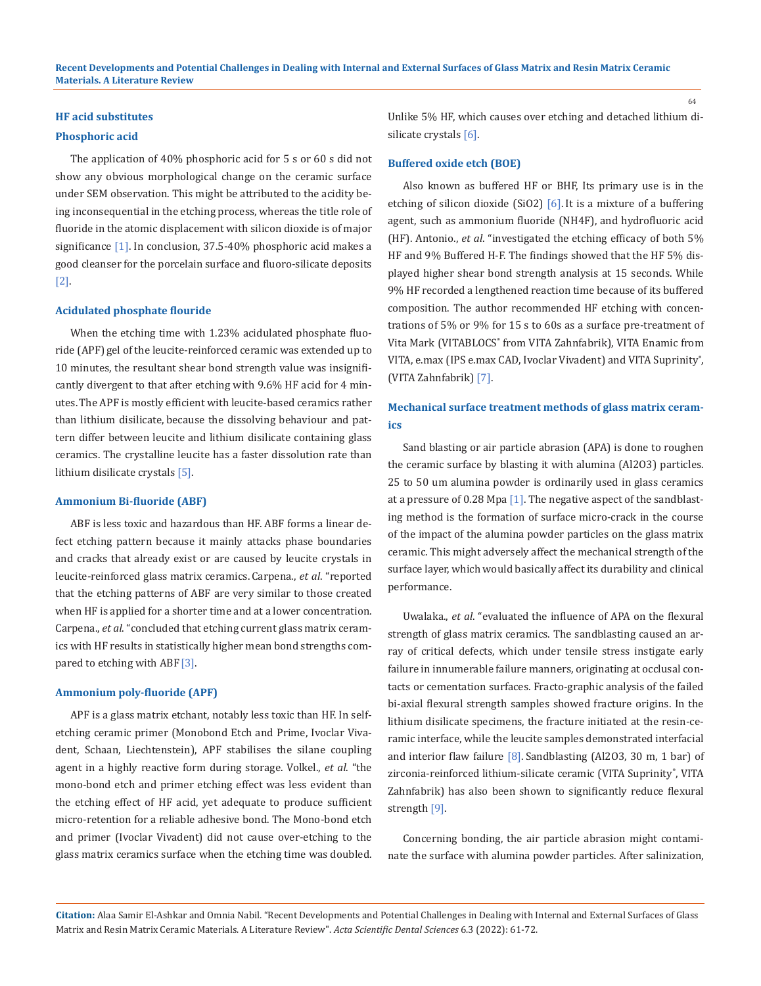## **HF acid substitutes**

#### **Phosphoric acid**

The application of 40% phosphoric acid for 5 s or 60 s did not show any obvious morphological change on the ceramic surface under SEM observation. This might be attributed to the acidity being inconsequential in the etching process, whereas the title role of fluoride in the atomic displacement with silicon dioxide is of major significance [1]. In conclusion, 37.5-40% phosphoric acid makes a good cleanser for the porcelain surface and fluoro-silicate deposits [2].

#### **Acidulated phosphate flouride**

When the etching time with 1.23% acidulated phosphate fluoride (APF) gel of the leucite-reinforced ceramic was extended up to 10 minutes, the resultant shear bond strength value was insignificantly divergent to that after etching with 9.6% HF acid for 4 minutes.The APF is mostly efficient with leucite-based ceramics rather than lithium disilicate, because the dissolving behaviour and pattern differ between leucite and lithium disilicate containing glass ceramics. The crystalline leucite has a faster dissolution rate than lithium disilicate crystals [5].

#### **Ammonium Bi-fluoride (ABF)**

ABF is less toxic and hazardous than HF. ABF forms a linear defect etching pattern because it mainly attacks phase boundaries and cracks that already exist or are caused by leucite crystals in leucite-reinforced glass matrix ceramics. Carpena., *et al*. "reported that the etching patterns of ABF are very similar to those created when HF is applied for a shorter time and at a lower concentration. Carpena., *et al*. "concluded that etching current glass matrix ceramics with HF results in statistically higher mean bond strengths compared to etching with ABF<sup>[3]</sup>.

#### **Ammonium poly-fluoride (APF)**

APF is a glass matrix etchant, notably less toxic than HF. In selfetching ceramic primer (Monobond Etch and Prime, Ivoclar Vivadent, Schaan, Liechtenstein), APF stabilises the silane coupling agent in a highly reactive form during storage. Volkel., *et al*. "the mono-bond etch and primer etching effect was less evident than the etching effect of HF acid, yet adequate to produce sufficient micro-retention for a reliable adhesive bond. The Mono-bond etch and primer (Ivoclar Vivadent) did not cause over-etching to the glass matrix ceramics surface when the etching time was doubled. Unlike 5% HF, which causes over etching and detached lithium disilicate crystals [6].

#### **Buffered oxide etch (BOE)**

Also known as buffered HF or BHF, Its primary use is in the etching of silicon dioxide (SiO2)  $[6]$ . It is a mixture of a buffering agent, such as ammonium fluoride (NH4F), and hydrofluoric acid (HF). Antonio., *et al*. "investigated the etching efficacy of both 5% HF and 9% Buffered H-F. The findings showed that the HF 5% displayed higher shear bond strength analysis at 15 seconds. While 9% HF recorded a lengthened reaction time because of its buffered composition. The author recommended HF etching with concentrations of 5% or 9% for 15 s to 60s as a surface pre-treatment of Vita Mark (VITABLOCS® from VITA Zahnfabrik), VITA Enamic from VITA, e.max (IPS e.max CAD, Ivoclar Vivadent) and VITA Suprinity® , (VITA Zahnfabrik) [7].

## **Mechanical surface treatment methods of glass matrix ceramics**

Sand blasting or air particle abrasion (APA) is done to roughen the ceramic surface by blasting it with alumina (Al2O3) particles. 25 to 50 um alumina powder is ordinarily used in glass ceramics at a pressure of 0.28 Mpa [1]. The negative aspect of the sandblasting method is the formation of surface micro-crack in the course of the impact of the alumina powder particles on the glass matrix ceramic. This might adversely affect the mechanical strength of the surface layer, which would basically affect its durability and clinical performance.

Uwalaka., *et al*. "evaluated the influence of APA on the flexural strength of glass matrix ceramics. The sandblasting caused an array of critical defects, which under tensile stress instigate early failure in innumerable failure manners, originating at occlusal contacts or cementation surfaces. Fracto-graphic analysis of the failed bi-axial flexural strength samples showed fracture origins. In the lithium disilicate specimens, the fracture initiated at the resin-ceramic interface, while the leucite samples demonstrated interfacial and interior flaw failure [8]. Sandblasting (Al2O3, 30 m, 1 bar) of zirconia-reinforced lithium-silicate ceramic (VITA Suprinity®, VITA Zahnfabrik) has also been shown to significantly reduce flexural strength [9].

Concerning bonding, the air particle abrasion might contaminate the surface with alumina powder particles. After salinization,

**Citation:** Alaa Samir El-Ashkar and Omnia Nabil*.* "Recent Developments and Potential Challenges in Dealing with Internal and External Surfaces of Glass Matrix and Resin Matrix Ceramic Materials. A Literature Review". *Acta Scientific Dental Sciences* 6.3 (2022): 61-72.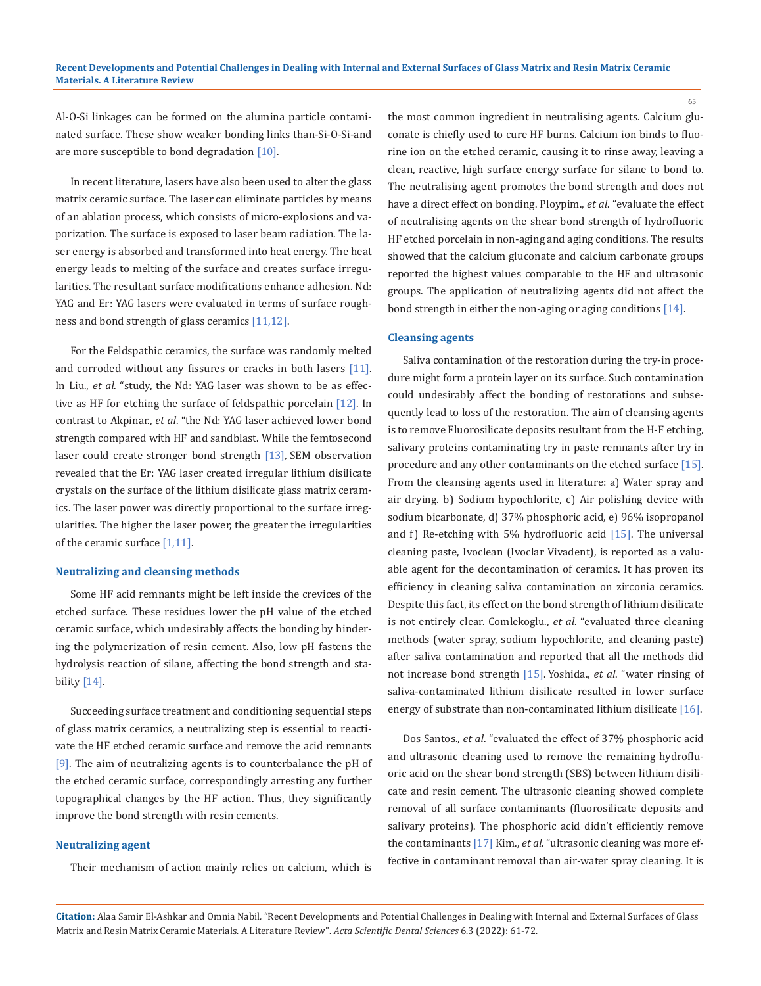Al-O-Si linkages can be formed on the alumina particle contaminated surface. These show weaker bonding links than-Si-O-Si-and are more susceptible to bond degradation [10].

In recent literature, lasers have also been used to alter the glass matrix ceramic surface. The laser can eliminate particles by means of an ablation process, which consists of micro-explosions and vaporization. The surface is exposed to laser beam radiation. The laser energy is absorbed and transformed into heat energy. The heat energy leads to melting of the surface and creates surface irregularities. The resultant surface modifications enhance adhesion. Nd: YAG and Er: YAG lasers were evaluated in terms of surface roughness and bond strength of glass ceramics [11,12].

For the Feldspathic ceramics, the surface was randomly melted and corroded without any fissures or cracks in both lasers [11]. In Liu., *et al*. "study, the Nd: YAG laser was shown to be as effective as HF for etching the surface of feldspathic porcelain [12]. In contrast to Akpinar., *et al*. "the Nd: YAG laser achieved lower bond strength compared with HF and sandblast. While the femtosecond laser could create stronger bond strength [13], SEM observation revealed that the Er: YAG laser created irregular lithium disilicate crystals on the surface of the lithium disilicate glass matrix ceramics. The laser power was directly proportional to the surface irregularities. The higher the laser power, the greater the irregularities of the ceramic surface [1,11].

#### **Neutralizing and cleansing methods**

Some HF acid remnants might be left inside the crevices of the etched surface. These residues lower the pH value of the etched ceramic surface, which undesirably affects the bonding by hindering the polymerization of resin cement. Also, low pH fastens the hydrolysis reaction of silane, affecting the bond strength and stability [14].

Succeeding surface treatment and conditioning sequential steps of glass matrix ceramics, a neutralizing step is essential to reactivate the HF etched ceramic surface and remove the acid remnants [9]. The aim of neutralizing agents is to counterbalance the pH of the etched ceramic surface, correspondingly arresting any further topographical changes by the HF action. Thus, they significantly improve the bond strength with resin cements.

## **Neutralizing agent**

Their mechanism of action mainly relies on calcium, which is

the most common ingredient in neutralising agents. Calcium gluconate is chiefly used to cure HF burns. Calcium ion binds to fluorine ion on the etched ceramic, causing it to rinse away, leaving a clean, reactive, high surface energy surface for silane to bond to. The neutralising agent promotes the bond strength and does not have a direct effect on bonding. Ploypim., *et al*. "evaluate the effect of neutralising agents on the shear bond strength of hydrofluoric HF etched porcelain in non-aging and aging conditions. The results showed that the calcium gluconate and calcium carbonate groups reported the highest values comparable to the HF and ultrasonic groups. The application of neutralizing agents did not affect the bond strength in either the non-aging or aging conditions [14].

#### **Cleansing agents**

Saliva contamination of the restoration during the try-in procedure might form a protein layer on its surface. Such contamination could undesirably affect the bonding of restorations and subsequently lead to loss of the restoration. The aim of cleansing agents is to remove Fluorosilicate deposits resultant from the H-F etching, salivary proteins contaminating try in paste remnants after try in procedure and any other contaminants on the etched surface [15]. From the cleansing agents used in literature: a) Water spray and air drying. b) Sodium hypochlorite, c) Air polishing device with sodium bicarbonate, d) 37% phosphoric acid, e) 96% isopropanol and f) Re-etching with 5% hydrofluoric acid [15]. The universal cleaning paste, Ivoclean (Ivoclar Vivadent), is reported as a valuable agent for the decontamination of ceramics. It has proven its efficiency in cleaning saliva contamination on zirconia ceramics. Despite this fact, its effect on the bond strength of lithium disilicate is not entirely clear. Comlekoglu., *et al*. "evaluated three cleaning methods (water spray, sodium hypochlorite, and cleaning paste) after saliva contamination and reported that all the methods did not increase bond strength [15]. Yoshida., *et al*. "water rinsing of saliva-contaminated lithium disilicate resulted in lower surface energy of substrate than non-contaminated lithium disilicate [16].

Dos Santos., *et al*. "evaluated the effect of 37% phosphoric acid and ultrasonic cleaning used to remove the remaining hydrofluoric acid on the shear bond strength (SBS) between lithium disilicate and resin cement. The ultrasonic cleaning showed complete removal of all surface contaminants (fluorosilicate deposits and salivary proteins). The phosphoric acid didn't efficiently remove the contaminants [17] Kim., *et al*. "ultrasonic cleaning was more effective in contaminant removal than air-water spray cleaning. It is

**Citation:** Alaa Samir El-Ashkar and Omnia Nabil*.* "Recent Developments and Potential Challenges in Dealing with Internal and External Surfaces of Glass Matrix and Resin Matrix Ceramic Materials. A Literature Review". *Acta Scientific Dental Sciences* 6.3 (2022): 61-72.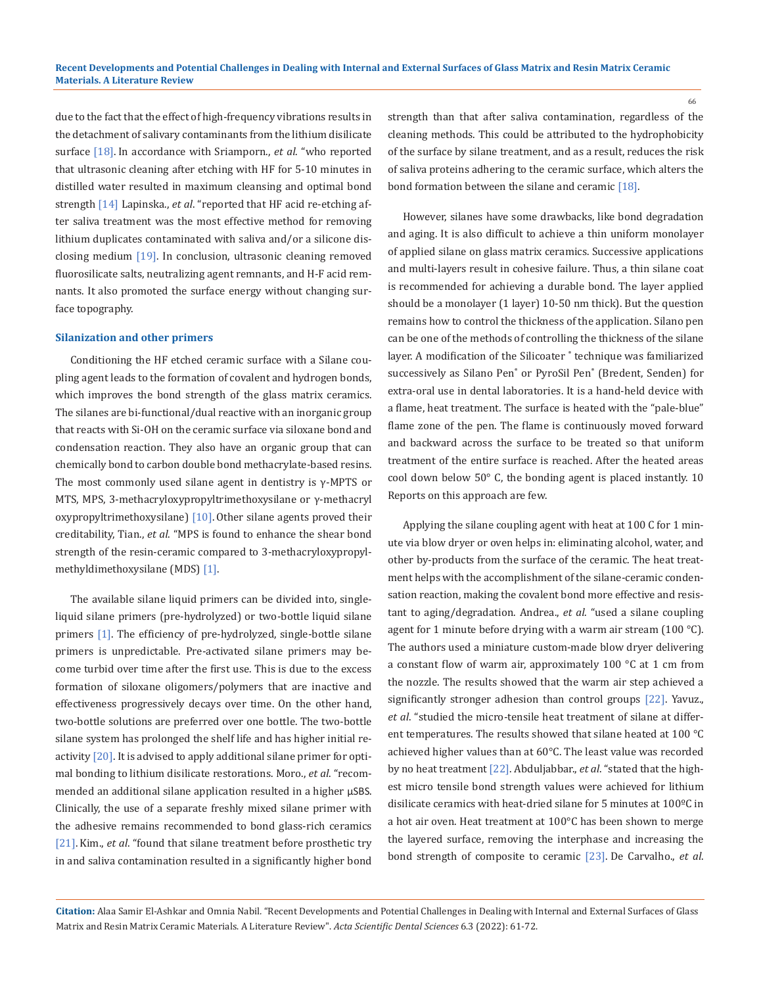due to the fact that the effect of high-frequency vibrations results in the detachment of salivary contaminants from the lithium disilicate surface [18]. In accordance with Sriamporn., *et al*. "who reported that ultrasonic cleaning after etching with HF for 5-10 minutes in distilled water resulted in maximum cleansing and optimal bond strength [14] Lapinska., *et al*. "reported that HF acid re-etching after saliva treatment was the most effective method for removing lithium duplicates contaminated with saliva and/or a silicone disclosing medium [19]. In conclusion, ultrasonic cleaning removed fluorosilicate salts, neutralizing agent remnants, and H-F acid remnants. It also promoted the surface energy without changing surface topography.

#### **Silanization and other primers**

Conditioning the HF etched ceramic surface with a Silane coupling agent leads to the formation of covalent and hydrogen bonds, which improves the bond strength of the glass matrix ceramics. The silanes are bi-functional/dual reactive with an inorganic group that reacts with Si-OH on the ceramic surface via siloxane bond and condensation reaction. They also have an organic group that can chemically bond to carbon double bond methacrylate-based resins. The most commonly used silane agent in dentistry is  $\gamma$ -MPTS or MTS, MPS, 3-methacryloxypropyltrimethoxysilane or γ-methacryl oxypropyltrimethoxysilane) [10]. Other silane agents proved their creditability, Tian., *et al*. "MPS is found to enhance the shear bond strength of the resin-ceramic compared to 3-methacryloxypropylmethyldimethoxysilane (MDS) [1].

The available silane liquid primers can be divided into, singleliquid silane primers (pre-hydrolyzed) or two-bottle liquid silane primers [1]. The efficiency of pre-hydrolyzed, single-bottle silane primers is unpredictable. Pre-activated silane primers may become turbid over time after the first use. This is due to the excess formation of siloxane oligomers/polymers that are inactive and effectiveness progressively decays over time. On the other hand, two-bottle solutions are preferred over one bottle. The two-bottle silane system has prolonged the shelf life and has higher initial reactivity  $[20]$ . It is advised to apply additional silane primer for optimal bonding to lithium disilicate restorations. Moro., *et al*. "recommended an additional silane application resulted in a higher μSBS. Clinically, the use of a separate freshly mixed silane primer with the adhesive remains recommended to bond glass-rich ceramics [21]. Kim., *et al*. "found that silane treatment before prosthetic try in and saliva contamination resulted in a significantly higher bond strength than that after saliva contamination, regardless of the cleaning methods. This could be attributed to the hydrophobicity of the surface by silane treatment, and as a result, reduces the risk of saliva proteins adhering to the ceramic surface, which alters the bond formation between the silane and ceramic [18].

However, silanes have some drawbacks, like bond degradation and aging. It is also difficult to achieve a thin uniform monolayer of applied silane on glass matrix ceramics. Successive applications and multi-layers result in cohesive failure. Thus, a thin silane coat is recommended for achieving a durable bond. The layer applied should be a monolayer (1 layer) 10-50 nm thick). But the question remains how to control the thickness of the application. Silano pen can be one of the methods of controlling the thickness of the silane layer. A modification of the Silicoater ® technique was familiarized successively as Silano Pen® or PyroSil Pen® (Bredent, Senden) for extra-oral use in dental laboratories. It is a hand-held device with a flame, heat treatment. The surface is heated with the "pale-blue" flame zone of the pen. The flame is continuously moved forward and backward across the surface to be treated so that uniform treatment of the entire surface is reached. After the heated areas cool down below 50° C, the bonding agent is placed instantly. 10 Reports on this approach are few.

Applying the silane coupling agent with heat at 100 C for 1 minute via blow dryer or oven helps in: eliminating alcohol, water, and other by-products from the surface of the ceramic. The heat treatment helps with the accomplishment of the silane-ceramic condensation reaction, making the covalent bond more effective and resistant to aging/degradation. Andrea., *et al*. "used a silane coupling agent for 1 minute before drying with a warm air stream (100 °C). The authors used a miniature custom-made blow dryer delivering a constant flow of warm air, approximately 100 °C at 1 cm from the nozzle. The results showed that the warm air step achieved a significantly stronger adhesion than control groups [22]. Yavuz., *et al*. "studied the micro-tensile heat treatment of silane at different temperatures. The results showed that silane heated at 100 °C achieved higher values than at 60°C. The least value was recorded by no heat treatment [22]. Abduljabbar., *et al*. "stated that the highest micro tensile bond strength values were achieved for lithium disilicate ceramics with heat-dried silane for 5 minutes at 100ºC in a hot air oven. Heat treatment at 100°C has been shown to merge the layered surface, removing the interphase and increasing the bond strength of composite to ceramic [23]. De Carvalho., *et al*.

**Citation:** Alaa Samir El-Ashkar and Omnia Nabil*.* "Recent Developments and Potential Challenges in Dealing with Internal and External Surfaces of Glass Matrix and Resin Matrix Ceramic Materials. A Literature Review". *Acta Scientific Dental Sciences* 6.3 (2022): 61-72.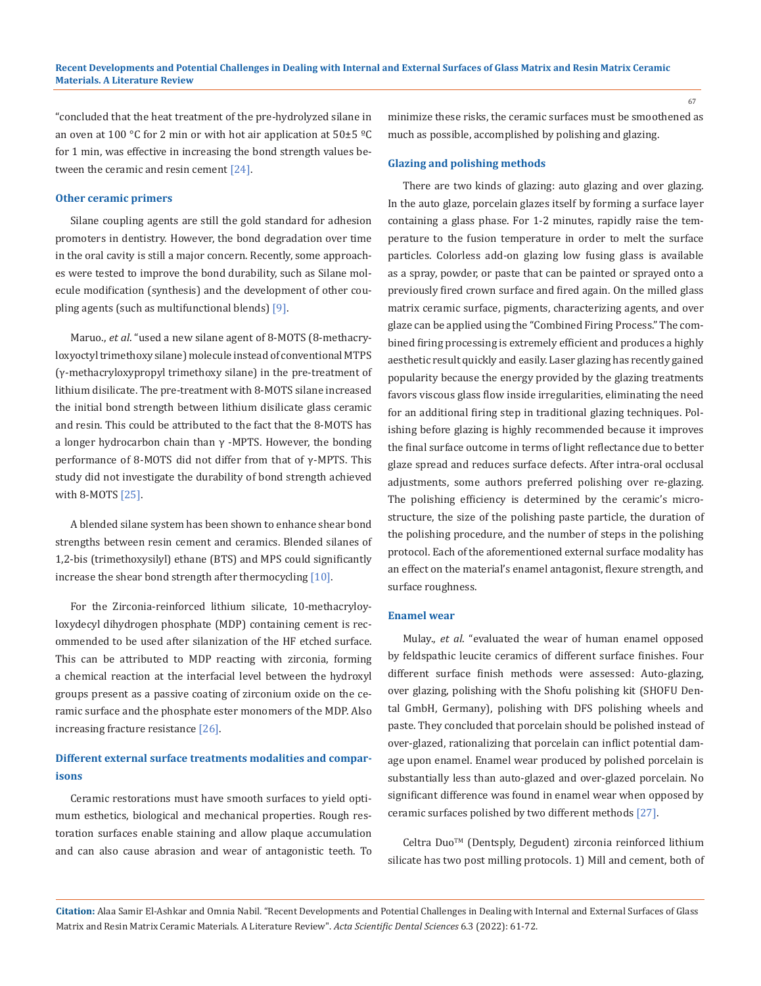"concluded that the heat treatment of the pre-hydrolyzed silane in an oven at 100 °C for 2 min or with hot air application at  $50\pm5$  °C for 1 min, was effective in increasing the bond strength values between the ceramic and resin cement [24].

## **Other ceramic primers**

Silane coupling agents are still the gold standard for adhesion promoters in dentistry. However, the bond degradation over time in the oral cavity is still a major concern. Recently, some approaches were tested to improve the bond durability, such as Silane molecule modification (synthesis) and the development of other coupling agents (such as multifunctional blends) [9].

Maruo., *et al*. "used a new silane agent of 8-MOTS (8-methacryloxyoctyl trimethoxy silane) molecule instead of conventional MTPS (γ-methacryloxypropyl trimethoxy silane) in the pre-treatment of lithium disilicate. The pre-treatment with 8-MOTS silane increased the initial bond strength between lithium disilicate glass ceramic and resin. This could be attributed to the fact that the 8-MOTS has a longer hydrocarbon chain than  $\gamma$  -MPTS. However, the bonding performance of 8-MOTS did not differ from that of  $γ$ -MPTS. This study did not investigate the durability of bond strength achieved with 8-MOTS [25].

A blended silane system has been shown to enhance shear bond strengths between resin cement and ceramics. Blended silanes of 1,2-bis (trimethoxysilyl) ethane (BTS) and MPS could significantly increase the shear bond strength after thermocycling [10].

For the Zirconia-reinforced lithium silicate, 10-methacryloyloxydecyl dihydrogen phosphate (MDP) containing cement is recommended to be used after silanization of the HF etched surface. This can be attributed to MDP reacting with zirconia, forming a chemical reaction at the interfacial level between the hydroxyl groups present as a passive coating of zirconium oxide on the ceramic surface and the phosphate ester monomers of the MDP. Also increasing fracture resistance [26].

## **Different external surface treatments modalities and comparisons**

Ceramic restorations must have smooth surfaces to yield optimum esthetics, biological and mechanical properties. Rough restoration surfaces enable staining and allow plaque accumulation and can also cause abrasion and wear of antagonistic teeth. To minimize these risks, the ceramic surfaces must be smoothened as much as possible, accomplished by polishing and glazing.

#### **Glazing and polishing methods**

There are two kinds of glazing: auto glazing and over glazing. In the auto glaze, porcelain glazes itself by forming a surface layer containing a glass phase. For 1-2 minutes, rapidly raise the temperature to the fusion temperature in order to melt the surface particles. Colorless add-on glazing low fusing glass is available as a spray, powder, or paste that can be painted or sprayed onto a previously fired crown surface and fired again. On the milled glass matrix ceramic surface, pigments, characterizing agents, and over glaze can be applied using the "Combined Firing Process." The combined firing processing is extremely efficient and produces a highly aesthetic result quickly and easily. Laser glazing has recently gained popularity because the energy provided by the glazing treatments favors viscous glass flow inside irregularities, eliminating the need for an additional firing step in traditional glazing techniques. Polishing before glazing is highly recommended because it improves the final surface outcome in terms of light reflectance due to better glaze spread and reduces surface defects. After intra-oral occlusal adjustments, some authors preferred polishing over re-glazing. The polishing efficiency is determined by the ceramic's microstructure, the size of the polishing paste particle, the duration of the polishing procedure, and the number of steps in the polishing protocol. Each of the aforementioned external surface modality has an effect on the material's enamel antagonist, flexure strength, and surface roughness.

## **Enamel wear**

Mulay., *et al*. "evaluated the wear of human enamel opposed by feldspathic leucite ceramics of different surface finishes. Four different surface finish methods were assessed: Auto-glazing, over glazing, polishing with the Shofu polishing kit (SHOFU Dental GmbH, Germany), polishing with DFS polishing wheels and paste. They concluded that porcelain should be polished instead of over-glazed, rationalizing that porcelain can inflict potential damage upon enamel. Enamel wear produced by polished porcelain is substantially less than auto-glazed and over-glazed porcelain. No significant difference was found in enamel wear when opposed by ceramic surfaces polished by two different methods [27].

Celtra Duo<sup>™</sup> (Dentsply, Degudent) zirconia reinforced lithium silicate has two post milling protocols. 1) Mill and cement, both of

**Citation:** Alaa Samir El-Ashkar and Omnia Nabil*.* "Recent Developments and Potential Challenges in Dealing with Internal and External Surfaces of Glass Matrix and Resin Matrix Ceramic Materials. A Literature Review". *Acta Scientific Dental Sciences* 6.3 (2022): 61-72.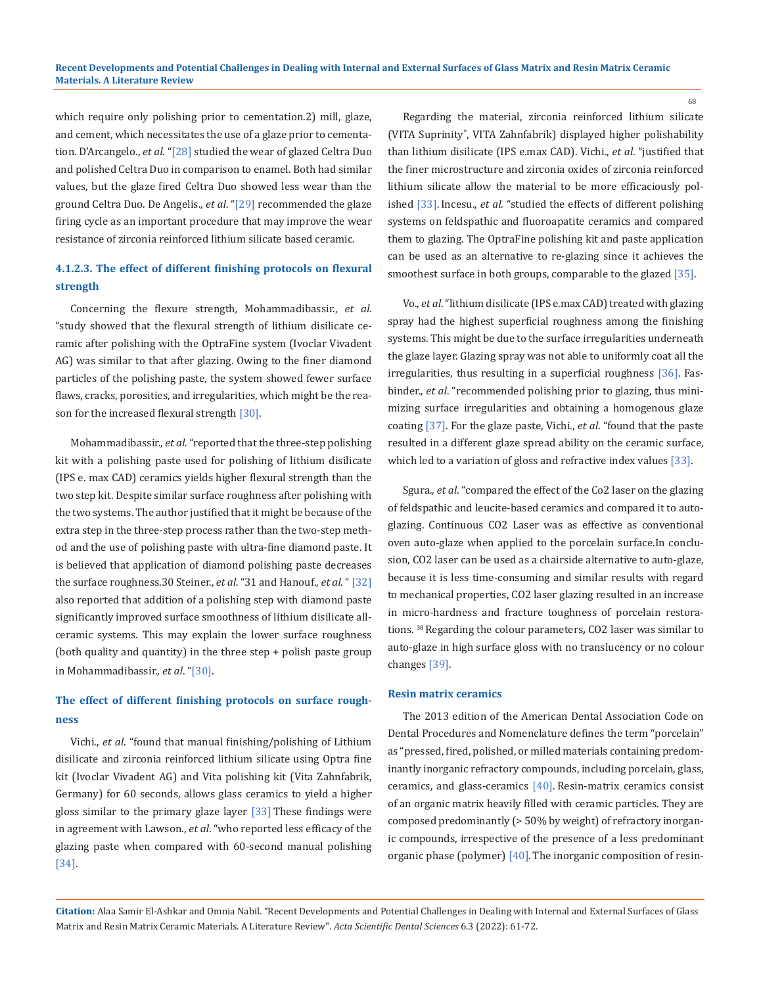which require only polishing prior to cementation.2) mill, glaze, and cement, which necessitates the use of a glaze prior to cementation. D'Arcangelo., *et al*. "[28] studied the wear of glazed Celtra Duo and polished Celtra Duo in comparison to enamel. Both had similar values, but the glaze fired Celtra Duo showed less wear than the ground Celtra Duo. De Angelis., *et al*. "[29] recommended the glaze firing cycle as an important procedure that may improve the wear resistance of zirconia reinforced lithium silicate based ceramic.

## **4.1.2.3. The effect of different finishing protocols on flexural strength**

Concerning the flexure strength*,* Mohammadibassir., *et al*. "study showed that the flexural strength of lithium disilicate ceramic after polishing with the OptraFine system (Ivoclar Vivadent AG) was similar to that after glazing. Owing to the finer diamond particles of the polishing paste, the system showed fewer surface flaws, cracks, porosities, and irregularities, which might be the reason for the increased flexural strength [30].

Mohammadibassir., *et al*. "reported that the three-step polishing kit with a polishing paste used for polishing of lithium disilicate (IPS e. max CAD) ceramics yields higher flexural strength than the two step kit. Despite similar surface roughness after polishing with the two systems. The author justified that it might be because of the extra step in the three-step process rather than the two-step method and the use of polishing paste with ultra-fine diamond paste. It is believed that application of diamond polishing paste decreases the surface roughness.30 Steiner., *et al*. "31 and Hanouf., *et al*. " [32] also reported that addition of a polishing step with diamond paste significantly improved surface smoothness of lithium disilicate allceramic systems. This may explain the lower surface roughness (both quality and quantity) in the three step + polish paste group in Mohammadibassir., *et al*. "[30].

## **The effect of different finishing protocols on surface roughness**

Vichi., *et al*. "found that manual finishing/polishing of Lithium disilicate and zirconia reinforced lithium silicate using Optra fine kit (Ivoclar Vivadent AG) and Vita polishing kit (Vita Zahnfabrik, Germany) for 60 seconds, allows glass ceramics to yield a higher gloss similar to the primary glaze layer [33] These findings were in agreement with Lawson., *et al*. "who reported less efficacy of the glazing paste when compared with 60-second manual polishing [34].

Regarding the material, zirconia reinforced lithium silicate (VITA Suprinity® , VITA Zahnfabrik) displayed higher polishability than lithium disilicate (IPS e.max CAD). Vichi., *et al*. "justified that the finer microstructure and zirconia oxides of zirconia reinforced lithium silicate allow the material to be more efficaciously polished [33]. Incesu., *et al*. "studied the effects of different polishing systems on feldspathic and fluoroapatite ceramics and compared them to glazing. The OptraFine polishing kit and paste application can be used as an alternative to re-glazing since it achieves the smoothest surface in both groups, comparable to the glazed [35].

Vo., *et al*. "lithium disilicate (IPS e.max CAD) treated with glazing spray had the highest superficial roughness among the finishing systems. This might be due to the surface irregularities underneath the glaze layer. Glazing spray was not able to uniformly coat all the irregularities, thus resulting in a superficial roughness [36]. Fasbinder., *et al*. "recommended polishing prior to glazing, thus minimizing surface irregularities and obtaining a homogenous glaze coating [37]. For the glaze paste, Vichi., *et al*. "found that the paste resulted in a different glaze spread ability on the ceramic surface, which led to a variation of gloss and refractive index values [33].

Sgura., *et al*. "compared the effect of the Co2 laser on the glazing of feldspathic and leucite-based ceramics and compared it to autoglazing. Continuous CO2 Laser was as effective as conventional oven auto-glaze when applied to the porcelain surface.In conclusion, CO2 laser can be used as a chairside alternative to auto-glaze, because it is less time-consuming and similar results with regard to mechanical properties, CO2 laser glazing resulted in an increase in micro-hardness and fracture toughness of porcelain restorations. 38 Regarding the colour parameters*,* CO2 laser was similar to auto-glaze in high surface gloss with no translucency or no colour changes [39].

### **Resin matrix ceramics**

The 2013 edition of the American Dental Association Code on Dental Procedures and Nomenclature defines the term "porcelain" as "pressed, fired, polished, or milled materials containing predominantly inorganic refractory compounds, including porcelain, glass, ceramics, and glass-ceramics [40]. Resin-matrix ceramics consist of an organic matrix heavily filled with ceramic particles. They are composed predominantly (> 50% by weight) of refractory inorganic compounds, irrespective of the presence of a less predominant organic phase (polymer) [40]. The inorganic composition of resin-

**Citation:** Alaa Samir El-Ashkar and Omnia Nabil*.* "Recent Developments and Potential Challenges in Dealing with Internal and External Surfaces of Glass Matrix and Resin Matrix Ceramic Materials. A Literature Review". *Acta Scientific Dental Sciences* 6.3 (2022): 61-72.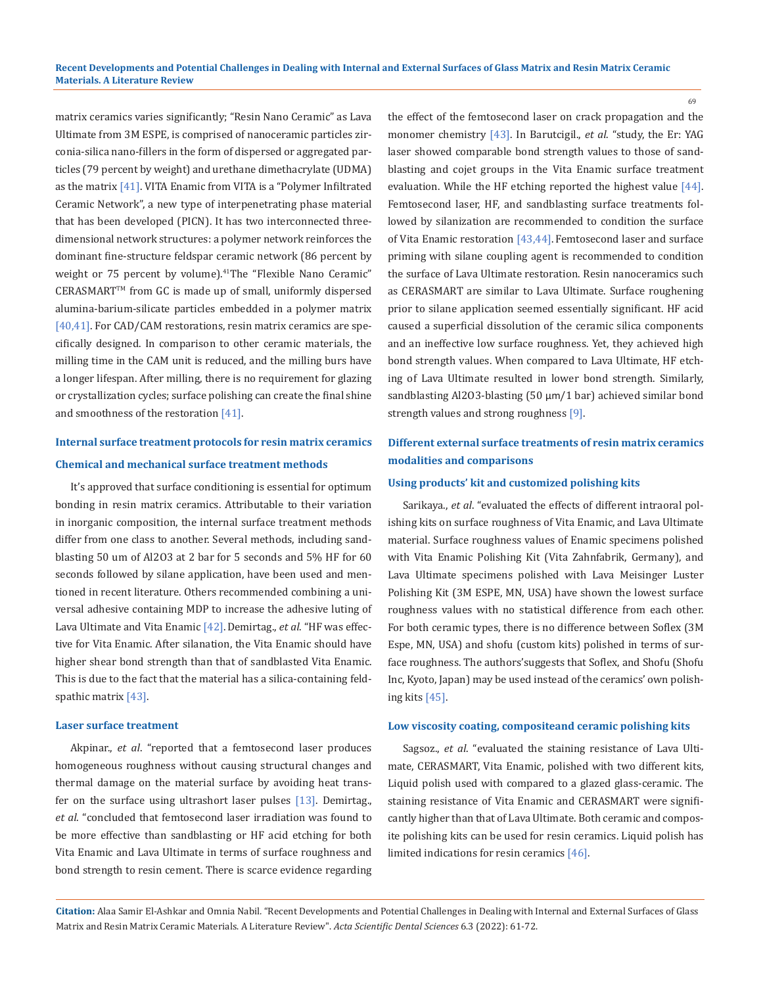matrix ceramics varies significantly; "Resin Nano Ceramic" as Lava Ultimate from 3M ESPE, is comprised of nanoceramic particles zirconia-silica nano-fillers in the form of dispersed or aggregated particles (79 percent by weight) and urethane dimethacrylate (UDMA) as the matrix [41]. VITA Enamic from VITA is a "Polymer Infiltrated Ceramic Network", a new type of interpenetrating phase material that has been developed (PICN). It has two interconnected threedimensional network structures: a polymer network reinforces the dominant fine-structure feldspar ceramic network (86 percent by weight or 75 percent by volume).<sup>41</sup>The "Flexible Nano Ceramic" CERASMART™ from GC is made up of small, uniformly dispersed alumina-barium-silicate particles embedded in a polymer matrix [40,41]. For CAD/CAM restorations, resin matrix ceramics are specifically designed. In comparison to other ceramic materials, the milling time in the CAM unit is reduced, and the milling burs have a longer lifespan. After milling, there is no requirement for glazing or crystallization cycles; surface polishing can create the final shine and smoothness of the restoration  $[41]$ .

# **Internal surface treatment protocols for resin matrix ceramics Chemical and mechanical surface treatment methods**

It's approved that surface conditioning is essential for optimum bonding in resin matrix ceramics. Attributable to their variation in inorganic composition, the internal surface treatment methods differ from one class to another. Several methods, including sandblasting 50 um of Al2O3 at 2 bar for 5 seconds and 5% HF for 60 seconds followed by silane application, have been used and mentioned in recent literature. Others recommended combining a universal adhesive containing MDP to increase the adhesive luting of Lava Ultimate and Vita Enamic [42].Demirtag., *et al*. "HF was effective for Vita Enamic. After silanation, the Vita Enamic should have higher shear bond strength than that of sandblasted Vita Enamic. This is due to the fact that the material has a silica-containing feldspathic matrix [43].

#### **Laser surface treatment**

Akpinar., *et al*. "reported that a femtosecond laser produces homogeneous roughness without causing structural changes and thermal damage on the material surface by avoiding heat transfer on the surface using ultrashort laser pulses [13]. Demirtag., *et al*. "concluded that femtosecond laser irradiation was found to be more effective than sandblasting or HF acid etching for both Vita Enamic and Lava Ultimate in terms of surface roughness and bond strength to resin cement. There is scarce evidence regarding the effect of the femtosecond laser on crack propagation and the monomer chemistry [43]. In Barutcigil., *et al*. "study, the Er: YAG laser showed comparable bond strength values to those of sandblasting and cojet groups in the Vita Enamic surface treatment evaluation. While the HF etching reported the highest value [44]. Femtosecond laser, HF, and sandblasting surface treatments followed by silanization are recommended to condition the surface of Vita Enamic restoration [43,44]. Femtosecond laser and surface priming with silane coupling agent is recommended to condition the surface of Lava Ultimate restoration. Resin nanoceramics such as CERASMART are similar to Lava Ultimate. Surface roughening prior to silane application seemed essentially significant. HF acid caused a superficial dissolution of the ceramic silica components and an ineffective low surface roughness. Yet, they achieved high bond strength values. When compared to Lava Ultimate, HF etching of Lava Ultimate resulted in lower bond strength. Similarly, sandblasting Al2O3-blasting (50 μm/1 bar) achieved similar bond strength values and strong roughness [9].

## **Different external surface treatments of resin matrix ceramics modalities and comparisons**

### **Using products' kit and customized polishing kits**

Sarikaya., *et al*. "evaluated the effects of different intraoral polishing kits on surface roughness of Vita Enamic, and Lava Ultimate material. Surface roughness values of Enamic specimens polished with Vita Enamic Polishing Kit (Vita Zahnfabrik, Germany), and Lava Ultimate specimens polished with Lava Meisinger Luster Polishing Kit (3M ESPE, MN, USA) have shown the lowest surface roughness values with no statistical difference from each other. For both ceramic types, there is no difference between Soflex (3M Espe, MN, USA) and shofu (custom kits) polished in terms of surface roughness. The authors'suggests that Soflex, and Shofu (Shofu Inc, Kyoto, Japan) may be used instead of the ceramics' own polishing kits [45].

### **Low viscosity coating, compositeand ceramic polishing kits**

Sagsoz., *et al*. "evaluated the staining resistance of Lava Ultimate, CERASMART, Vita Enamic, polished with two different kits, Liquid polish used with compared to a glazed glass-ceramic. The staining resistance of Vita Enamic and CERASMART were significantly higher than that of Lava Ultimate. Both ceramic and composite polishing kits can be used for resin ceramics. Liquid polish has limited indications for resin ceramics [46].

**Citation:** Alaa Samir El-Ashkar and Omnia Nabil*.* "Recent Developments and Potential Challenges in Dealing with Internal and External Surfaces of Glass Matrix and Resin Matrix Ceramic Materials. A Literature Review". *Acta Scientific Dental Sciences* 6.3 (2022): 61-72.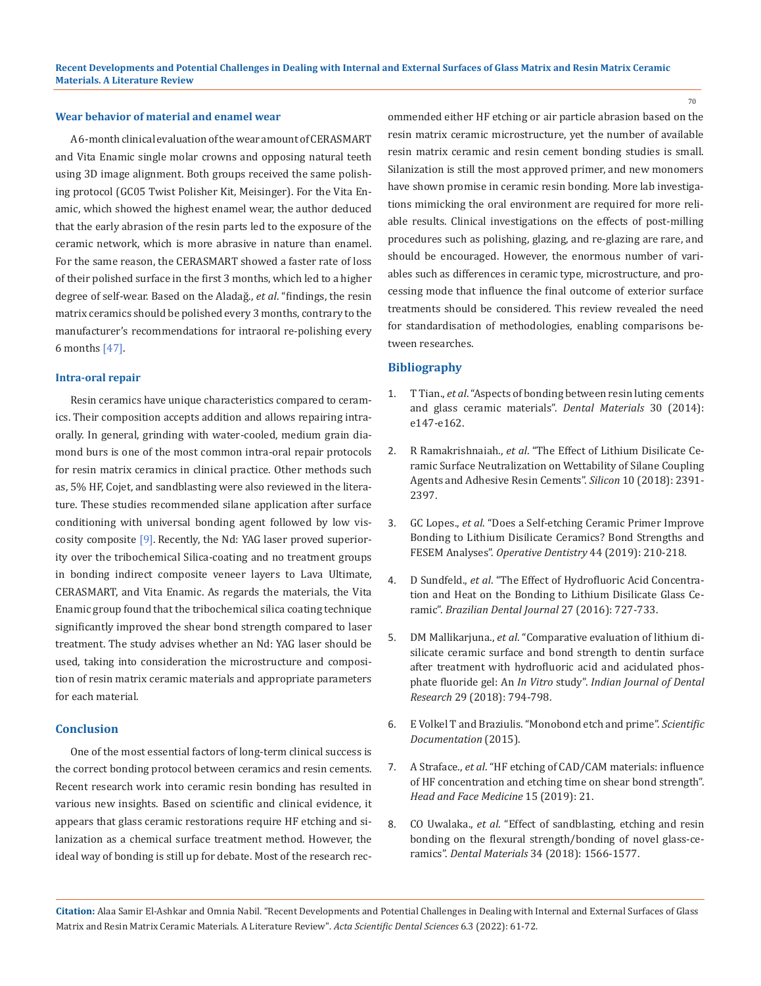## **Wear behavior of material and enamel wear**

A 6-month clinical evaluation of the wear amount of CERASMART and Vita Enamic single molar crowns and opposing natural teeth using 3D image alignment. Both groups received the same polishing protocol (GC05 Twist Polisher Kit, Meisinger). For the Vita Enamic, which showed the highest enamel wear, the author deduced that the early abrasion of the resin parts led to the exposure of the ceramic network, which is more abrasive in nature than enamel. For the same reason, the CERASMART showed a faster rate of loss of their polished surface in the first 3 months, which led to a higher degree of self-wear. Based on the Aladağ., *et al*. "findings, the resin matrix ceramics should be polished every 3 months, contrary to the manufacturer's recommendations for intraoral re-polishing every 6 months [47].

### **Intra-oral repair**

Resin ceramics have unique characteristics compared to ceramics. Their composition accepts addition and allows repairing intraorally. In general, grinding with water-cooled, medium grain diamond burs is one of the most common intra-oral repair protocols for resin matrix ceramics in clinical practice. Other methods such as, 5% HF, Cojet, and sandblasting were also reviewed in the literature. These studies recommended silane application after surface conditioning with universal bonding agent followed by low viscosity composite [9]. Recently, the Nd: YAG laser proved superiority over the tribochemical Silica-coating and no treatment groups in bonding indirect composite veneer layers to Lava Ultimate, CERASMART, and Vita Enamic. As regards the materials, the Vita Enamic group found that the tribochemical silica coating technique significantly improved the shear bond strength compared to laser treatment. The study advises whether an Nd: YAG laser should be used, taking into consideration the microstructure and composition of resin matrix ceramic materials and appropriate parameters for each material.

## **Conclusion**

One of the most essential factors of long-term clinical success is the correct bonding protocol between ceramics and resin cements. Recent research work into ceramic resin bonding has resulted in various new insights. Based on scientific and clinical evidence, it appears that glass ceramic restorations require HF etching and silanization as a chemical surface treatment method. However, the ideal way of bonding is still up for debate. Most of the research recommended either HF etching or air particle abrasion based on the resin matrix ceramic microstructure, yet the number of available resin matrix ceramic and resin cement bonding studies is small. Silanization is still the most approved primer, and new monomers have shown promise in ceramic resin bonding. More lab investigations mimicking the oral environment are required for more reliable results. Clinical investigations on the effects of post-milling procedures such as polishing, glazing, and re-glazing are rare, and should be encouraged. However, the enormous number of variables such as differences in ceramic type, microstructure, and processing mode that influence the final outcome of exterior surface treatments should be considered. This review revealed the need for standardisation of methodologies, enabling comparisons between researches.

## **Bibliography**

- 1. T Tian., *et al*[. "Aspects of bonding between resin luting cements](file:///E:/ACTA%20PDF%20Data/ASDS/ASDS-22-RA-009/Aspects%20of%20bonding%20between%20resin%20luting%20cements%20and%20glass%20ceramic%20materials)  [and glass ceramic materials".](file:///E:/ACTA%20PDF%20Data/ASDS/ASDS-22-RA-009/Aspects%20of%20bonding%20between%20resin%20luting%20cements%20and%20glass%20ceramic%20materials) *Dental Materials* 30 (2014): [e147-e162.](file:///E:/ACTA%20PDF%20Data/ASDS/ASDS-22-RA-009/Aspects%20of%20bonding%20between%20resin%20luting%20cements%20and%20glass%20ceramic%20materials)
- 2. R Ramakrishnaiah., *et al*[. "The Effect of Lithium Disilicate Ce](https://www.researchgate.net/publication/323665370_The_Effect_of_Lithium_Disilicate_Ceramic_Surface_Neutralization_on_Wettability_of_Silane_Coupling_Agents_and_Adhesive_Resin_Cements)[ramic Surface Neutralization on Wettability of Silane Coupling](https://www.researchgate.net/publication/323665370_The_Effect_of_Lithium_Disilicate_Ceramic_Surface_Neutralization_on_Wettability_of_Silane_Coupling_Agents_and_Adhesive_Resin_Cements)  [Agents and Adhesive Resin Cements".](https://www.researchgate.net/publication/323665370_The_Effect_of_Lithium_Disilicate_Ceramic_Surface_Neutralization_on_Wettability_of_Silane_Coupling_Agents_and_Adhesive_Resin_Cements) *Silicon* 10 (2018): 2391- [2397.](https://www.researchgate.net/publication/323665370_The_Effect_of_Lithium_Disilicate_Ceramic_Surface_Neutralization_on_Wettability_of_Silane_Coupling_Agents_and_Adhesive_Resin_Cements)
- 3. GC Lopes., *et al*[. "Does a Self-etching Ceramic Primer Improve](https://pubmed.ncbi.nlm.nih.gov/30106332/)  [Bonding to Lithium Disilicate Ceramics? Bond Strengths and](https://pubmed.ncbi.nlm.nih.gov/30106332/)  FESEM Analyses". *[Operative Dentistry](https://pubmed.ncbi.nlm.nih.gov/30106332/)* 44 (2019): 210-218.
- 4. D Sundfeld., *et al*[. "The Effect of Hydrofluoric Acid Concentra](https://pubmed.ncbi.nlm.nih.gov/27982186/)[tion and Heat on the Bonding to Lithium Disilicate Glass Ce](https://pubmed.ncbi.nlm.nih.gov/27982186/)ramic". *[Brazilian Dental Journal](https://pubmed.ncbi.nlm.nih.gov/27982186/)* 27 (2016): 727-733.
- 5. DM Mallikarjuna., *et al*[. "Comparative evaluation of lithium di](https://pubmed.ncbi.nlm.nih.gov/30589010/)[silicate ceramic surface and bond strength to dentin surface](https://pubmed.ncbi.nlm.nih.gov/30589010/) [after treatment with hydrofluoric acid and acidulated phos](https://pubmed.ncbi.nlm.nih.gov/30589010/)phate fluoride gel: An *In Vitro* study". *[Indian Journal of Dental](https://pubmed.ncbi.nlm.nih.gov/30589010/) Research* [29 \(2018\): 794-798.](https://pubmed.ncbi.nlm.nih.gov/30589010/)
- 6. [E Volkel T and Braziulis. "Monobond etch and prime".](https://www.ivoclar.com/en_in/products/cementation/monobond-etch---prime) *Scientific [Documentation](https://www.ivoclar.com/en_in/products/cementation/monobond-etch---prime)* (2015).
- 7. A Straface., *et al*[. "HF etching of CAD/CAM materials: influence](https://www.ncbi.nlm.nih.gov/pmc/articles/PMC6686502/)  [of HF concentration and etching time on shear bond strength".](https://www.ncbi.nlm.nih.gov/pmc/articles/PMC6686502/)  *[Head and Face Medicine](https://www.ncbi.nlm.nih.gov/pmc/articles/PMC6686502/)* 15 (2019): 21.
- 8. CO Uwalaka., *et al*[. "Effect of sandblasting, etching and resin](https://pubmed.ncbi.nlm.nih.gov/30072165/) [bonding on the flexural strength/bonding of novel glass-ce](https://pubmed.ncbi.nlm.nih.gov/30072165/)ramics". *Dental Materials* [34 \(2018\): 1566-1577.](https://pubmed.ncbi.nlm.nih.gov/30072165/)

**Citation:** Alaa Samir El-Ashkar and Omnia Nabil*.* "Recent Developments and Potential Challenges in Dealing with Internal and External Surfaces of Glass Matrix and Resin Matrix Ceramic Materials. A Literature Review". *Acta Scientific Dental Sciences* 6.3 (2022): 61-72.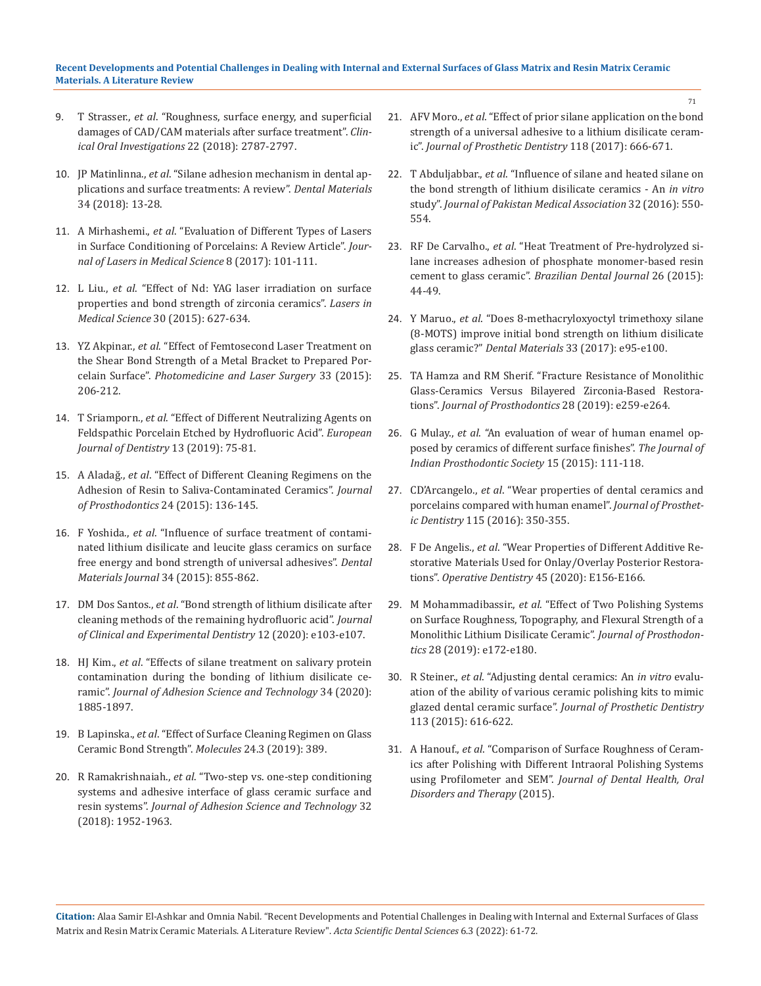## **Recent Developments and Potential Challenges in Dealing with Internal and External Surfaces of Glass Matrix and Resin Matrix Ceramic Materials. A Literature Review**

- 9. T Strasser., *et al*[. "Roughness, surface energy, and superficial](https://pubmed.ncbi.nlm.nih.gov/29404810/)  [damages of CAD/CAM materials after surface treatment".](https://pubmed.ncbi.nlm.nih.gov/29404810/) *Clin[ical Oral Investigations](https://pubmed.ncbi.nlm.nih.gov/29404810/)* 22 (2018): 2787-2797.
- 10. JP Matinlinna., *et al*[. "Silane adhesion mechanism in dental ap](https://pubmed.ncbi.nlm.nih.gov/28969848/)[plications and surface treatments: A review".](https://pubmed.ncbi.nlm.nih.gov/28969848/) *Dental Materials* [34 \(2018\): 13-28.](https://pubmed.ncbi.nlm.nih.gov/28969848/)
- 11. A Mirhashemi., *et al*[. "Evaluation of Different Types of Lasers](https://pubmed.ncbi.nlm.nih.gov/29123628/)  [in Surface Conditioning of Porcelains: A Review Article".](https://pubmed.ncbi.nlm.nih.gov/29123628/) *Journal of [Lasers in Medical Science](https://pubmed.ncbi.nlm.nih.gov/29123628/)* 8 (2017): 101-111.
- 12. L Liu., *et al*[. "Effect of Nd: YAG laser irradiation on surface](https://pubmed.ncbi.nlm.nih.gov/23828494/)  [properties and bond strength of zirconia ceramics".](https://pubmed.ncbi.nlm.nih.gov/23828494/) *Lasers in Medical Science* [30 \(2015\): 627-634.](https://pubmed.ncbi.nlm.nih.gov/23828494/)
- 13. YZ Akpinar., *et al*[. "Effect of Femtosecond Laser Treatment on](https://pubmed.ncbi.nlm.nih.gov/25790117/)  [the Shear Bond Strength of a Metal Bracket to Prepared Por](https://pubmed.ncbi.nlm.nih.gov/25790117/)celain Surface". *[Photomedicine and Laser Surgery](https://pubmed.ncbi.nlm.nih.gov/25790117/)* 33 (2015): [206-212.](https://pubmed.ncbi.nlm.nih.gov/25790117/)
- 14. T Sriamporn., *et al*[. "Effect of Different Neutralizing Agents on](https://pubmed.ncbi.nlm.nih.gov/31170767/)  [Feldspathic Porcelain Etched by Hydrofluoric Acid".](https://pubmed.ncbi.nlm.nih.gov/31170767/) *European [Journal of Dentistry](https://pubmed.ncbi.nlm.nih.gov/31170767/)* 13 (2019): 75-81.
- 15. A Aladağ., *et al*[. "Effect of Different Cleaning Regimens on the](file:///E:/ACTA%20PDF%20Data/ASDS/ASDS-22-RA-009/Effect%20of%20Different%20Cleaning%20Regimens%20on%20the%20Adhesion%20of%20Resin%20to%20Saliva-Contaminated%20Ceramics)  [Adhesion of Resin to Saliva-Contaminated Ceramics".](file:///E:/ACTA%20PDF%20Data/ASDS/ASDS-22-RA-009/Effect%20of%20Different%20Cleaning%20Regimens%20on%20the%20Adhesion%20of%20Resin%20to%20Saliva-Contaminated%20Ceramics) *Journal [of Prosthodontics](file:///E:/ACTA%20PDF%20Data/ASDS/ASDS-22-RA-009/Effect%20of%20Different%20Cleaning%20Regimens%20on%20the%20Adhesion%20of%20Resin%20to%20Saliva-Contaminated%20Ceramics)* 24 (2015): 136-145.
- 16. F Yoshida., *et al*[. "Influence of surface treatment of contami](https://pubmed.ncbi.nlm.nih.gov/26632235/)[nated lithium disilicate and leucite glass ceramics on surface](https://pubmed.ncbi.nlm.nih.gov/26632235/)  [free energy and bond strength of universal adhesives".](https://pubmed.ncbi.nlm.nih.gov/26632235/) *Dental [Materials Journal](https://pubmed.ncbi.nlm.nih.gov/26632235/)* 34 (2015): 855-862.
- 17. DM Dos Santos., *et al*[. "Bond strength of lithium disilicate after](https://www.ncbi.nlm.nih.gov/pmc/articles/PMC7018474/)  [cleaning methods of the remaining hydrofluoric acid".](https://www.ncbi.nlm.nih.gov/pmc/articles/PMC7018474/) *Journal [of Clinical and Experimental Dentistry](https://www.ncbi.nlm.nih.gov/pmc/articles/PMC7018474/)* 12 (2020): e103-e107.
- 18. HJ Kim., *et al*[. "Effects of silane treatment on salivary protein](https://www.tandfonline.com/doi/abs/10.1080/01694243.2020.1733368)  [contamination during the bonding of lithium disilicate ce](https://www.tandfonline.com/doi/abs/10.1080/01694243.2020.1733368)ramic". *[Journal of Adhesion Science and Technology](https://www.tandfonline.com/doi/abs/10.1080/01694243.2020.1733368)* 34 (2020): [1885-1897.](https://www.tandfonline.com/doi/abs/10.1080/01694243.2020.1733368)
- 19. B Lapinska., *et al*[. "Effect of Surface Cleaning Regimen on Glass](https://pubmed.ncbi.nlm.nih.gov/30678247/)  [Ceramic Bond Strength".](https://pubmed.ncbi.nlm.nih.gov/30678247/) *Molecules* 24.3 (2019): 389.
- 20. R Ramakrishnaiah., *et al*[. "Two-step vs. one-step conditioning](https://www.researchgate.net/publication/324075896_Two-step_vs_one-step_conditioning_systems_and_adhesive_interface_of_glass_ceramic_surface_and_resin_systems)  [systems and adhesive interface of glass ceramic surface and](https://www.researchgate.net/publication/324075896_Two-step_vs_one-step_conditioning_systems_and_adhesive_interface_of_glass_ceramic_surface_and_resin_systems)  resin systems". *[Journal of Adhesion Science and Technology](https://www.researchgate.net/publication/324075896_Two-step_vs_one-step_conditioning_systems_and_adhesive_interface_of_glass_ceramic_surface_and_resin_systems)* 32 [\(2018\): 1952-1963.](https://www.researchgate.net/publication/324075896_Two-step_vs_one-step_conditioning_systems_and_adhesive_interface_of_glass_ceramic_surface_and_resin_systems)
- 21. AFV Moro., *et al*[. "Effect of prior silane application on the bond](https://pubmed.ncbi.nlm.nih.gov/28385437/)  [strength of a universal adhesive to a lithium disilicate ceram](https://pubmed.ncbi.nlm.nih.gov/28385437/)ic". *[Journal of Prosthetic Dentistry](https://pubmed.ncbi.nlm.nih.gov/28385437/)* 118 (2017): 666-671.
- 22. T Abduljabbar., *et al*[. "Influence of silane and heated silane on](https://pubmed.ncbi.nlm.nih.gov/27375687/)  [the bond strength of lithium disilicate ceramics - An](https://pubmed.ncbi.nlm.nih.gov/27375687/) *in vitro* study". *[Journal of Pakistan Medical Association](https://pubmed.ncbi.nlm.nih.gov/27375687/)* 32 (2016): 550- [554.](https://pubmed.ncbi.nlm.nih.gov/27375687/)
- 23. RF De Carvalho., *et al*[. "Heat Treatment of Pre-hydrolyzed si](https://pubmed.ncbi.nlm.nih.gov/25672383/)[lane increases adhesion of phosphate monomer-based resin](https://pubmed.ncbi.nlm.nih.gov/25672383/)  cement to glass ceramic". *[Brazilian Dental Journal](https://pubmed.ncbi.nlm.nih.gov/25672383/)* 26 (2015): [44-49.](https://pubmed.ncbi.nlm.nih.gov/25672383/)
- 24. Y Maruo., *et al*[. "Does 8-methacryloxyoctyl trimethoxy silane](https://pubmed.ncbi.nlm.nih.gov/27890356/)  [\(8-MOTS\) improve initial bond strength on lithium disilicate](https://pubmed.ncbi.nlm.nih.gov/27890356/)  glass ceramic?" *Dental Materials* [33 \(2017\): e95-e100.](https://pubmed.ncbi.nlm.nih.gov/27890356/)
- 25. [TA Hamza and RM Sherif. "Fracture Resistance of Monolithic](https://pubmed.ncbi.nlm.nih.gov/29044828/)  [Glass-Ceramics Versus Bilayered Zirconia-Based Restora](https://pubmed.ncbi.nlm.nih.gov/29044828/)tions". *[Journal of Prosthodontics](https://pubmed.ncbi.nlm.nih.gov/29044828/)* 28 (2019): e259-e264.
- 26. G Mulay., *et al*[. "An evaluation of wear of human enamel op](https://pubmed.ncbi.nlm.nih.gov/26929496/)[posed by ceramics of different surface finishes".](https://pubmed.ncbi.nlm.nih.gov/26929496/) *The Journal of [Indian Prosthodontic Society](https://pubmed.ncbi.nlm.nih.gov/26929496/)* 15 (2015): 111-118.
- 27. CD'Arcangelo., *et al*[. "Wear properties of dental ceramics and](https://pubmed.ncbi.nlm.nih.gov/26553254/)  [porcelains compared with human enamel".](https://pubmed.ncbi.nlm.nih.gov/26553254/) *Journal of Prosthetic Dentistry* [115 \(2016\): 350-355.](https://pubmed.ncbi.nlm.nih.gov/26553254/)
- 28. F De Angelis., *et al*[. "Wear Properties of Different Additive Re](https://pubmed.ncbi.nlm.nih.gov/32053459/)[storative Materials Used for Onlay/Overlay Posterior Restora](https://pubmed.ncbi.nlm.nih.gov/32053459/)tions". *[Operative Dentistry](https://pubmed.ncbi.nlm.nih.gov/32053459/)* 45 (2020): E156-E166.
- 29. M Mohammadibassir., *et al*[. "Effect of Two Polishing Systems](https://pubmed.ncbi.nlm.nih.gov/28273681/)  [on Surface Roughness, Topography, and Flexural Strength of a](https://pubmed.ncbi.nlm.nih.gov/28273681/)  [Monolithic Lithium Disilicate Ceramic".](https://pubmed.ncbi.nlm.nih.gov/28273681/) *Journal of Prosthodontics* [28 \(2019\): e172-e180.](https://pubmed.ncbi.nlm.nih.gov/28273681/)
- 30. R Steiner., *et al*[. "Adjusting dental ceramics: An](https://pubmed.ncbi.nlm.nih.gov/25794914/) *in vitro* evalu[ation of the ability of various ceramic polishing kits to mimic](https://pubmed.ncbi.nlm.nih.gov/25794914/)  glazed dental ceramic surface". *[Journal of Prosthetic Dentistry](https://pubmed.ncbi.nlm.nih.gov/25794914/)* [113 \(2015\): 616-622.](https://pubmed.ncbi.nlm.nih.gov/25794914/)
- 31. A Hanouf., *et al*[. "Comparison of Surface Roughness of Ceram](https://www.researchgate.net/publication/277064255_Comparison_of_Surface_Roughness_of_Ceramics_after_Polishing_with_Different_Intraoral_Polishing_Systems_using_Profilometer_and_SEM)[ics after Polishing with Different Intraoral Polishing Systems](https://www.researchgate.net/publication/277064255_Comparison_of_Surface_Roughness_of_Ceramics_after_Polishing_with_Different_Intraoral_Polishing_Systems_using_Profilometer_and_SEM)  using Profilometer and SEM". *[Journal of Dental Health, Oral](https://www.researchgate.net/publication/277064255_Comparison_of_Surface_Roughness_of_Ceramics_after_Polishing_with_Different_Intraoral_Polishing_Systems_using_Profilometer_and_SEM)  [Disorders and Therapy](https://www.researchgate.net/publication/277064255_Comparison_of_Surface_Roughness_of_Ceramics_after_Polishing_with_Different_Intraoral_Polishing_Systems_using_Profilometer_and_SEM)* (2015).

**Citation:** Alaa Samir El-Ashkar and Omnia Nabil*.* "Recent Developments and Potential Challenges in Dealing with Internal and External Surfaces of Glass Matrix and Resin Matrix Ceramic Materials. A Literature Review". *Acta Scientific Dental Sciences* 6.3 (2022): 61-72.